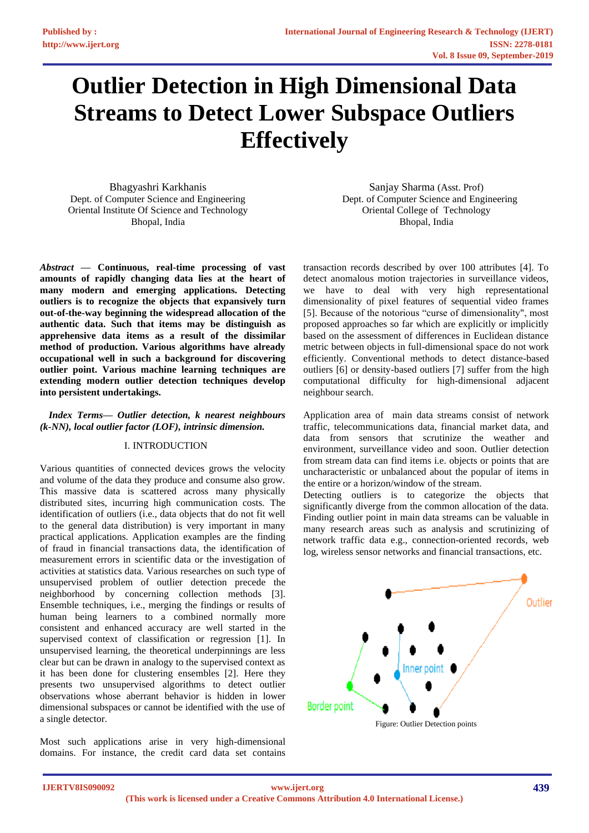# **Outlier Detection in High Dimensional Data Streams to Detect Lower Subspace Outliers Effectively**

Bhagyashri Karkhanis Dept. of Computer Science and Engineering Oriental Institute Of Science and Technology Bhopal, India

*Abstract —* **Continuous, real-time processing of vast amounts of rapidly changing data lies at the heart of many modern and emerging applications. Detecting outliers is to recognize the objects that expansively turn out-of-the-way beginning the widespread allocation of the authentic data. Such that items may be distinguish as apprehensive data items as a result of the dissimilar method of production. Various algorithms have already occupational well in such a background for discovering outlier point. Various machine learning techniques are extending modern outlier detection techniques develop into persistent undertakings.**

# *Index Terms— Outlier detection, k nearest neighbours (k-NN), local outlier factor (LOF), intrinsic dimension.*

# I. INTRODUCTION

Various quantities of connected devices grows the velocity and volume of the data they produce and consume also grow. This massive data is scattered across many physically distributed sites, incurring high communication costs. The identification of outliers (i.e., data objects that do not fit well to the general data distribution) is very important in many practical applications. Application examples are the finding of fraud in financial transactions data, the identification of measurement errors in scientific data or the investigation of activities at statistics data. Various researches on such type of unsupervised problem of outlier detection precede the neighborhood by concerning collection methods [3]. Ensemble techniques, i.e., merging the findings or results of human being learners to a combined normally more consistent and enhanced accuracy are well started in the supervised context of classification or regression [1]. In unsupervised learning, the theoretical underpinnings are less clear but can be drawn in analogy to the supervised context as it has been done for clustering ensembles [2]. Here they presents two unsupervised algorithms to detect outlier observations whose aberrant behavior is hidden in lower dimensional subspaces or cannot be identified with the use of a single detector.

Most such applications arise in very high-dimensional domains. For instance, the credit card data set contains

Sanjay Sharma (Asst. Prof) Dept. of Computer Science and Engineering Oriental College of Technology Bhopal, India

transaction records described by over 100 attributes [4]. To detect anomalous motion trajectories in surveillance videos, we have to deal with very high representational dimensionality of pixel features of sequential video frames [5]. Because of the notorious "curse of dimensionality", most proposed approaches so far which are explicitly or implicitly based on the assessment of differences in Euclidean distance metric between objects in full-dimensional space do not work efficiently. Conventional methods to detect distance-based outliers [6] or density-based outliers [7] suffer from the high computational difficulty for high-dimensional adjacent neighbour search.

Application area of main data streams consist of network traffic, telecommunications data, financial market data, and data from sensors that scrutinize the weather and environment, surveillance video and soon. Outlier detection from stream data can find items i.e. objects or points that are uncharacteristic or unbalanced about the popular of items in the entire or a horizon/window of the stream.

Detecting outliers is to categorize the objects that significantly diverge from the common allocation of the data. Finding outlier point in main data streams can be valuable in many research areas such as analysis and scrutinizing of network traffic data e.g., connection-oriented records, web log, wireless sensor networks and financial transactions, etc.

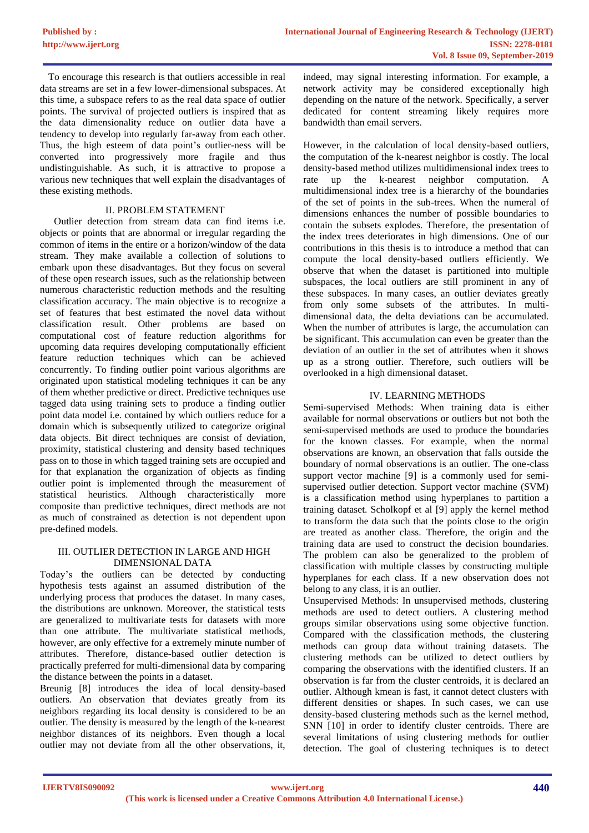To encourage this research is that outliers accessible in real data streams are set in a few lower-dimensional subspaces. At this time, a subspace refers to as the real data space of outlier points. The survival of projected outliers is inspired that as the data dimensionality reduce on outlier data have a tendency to develop into regularly far-away from each other. Thus, the high esteem of data point's outlier-ness will be converted into progressively more fragile and thus undistinguishable. As such, it is attractive to propose a various new techniques that well explain the disadvantages of these existing methods.

# II. PROBLEM STATEMENT

Outlier detection from stream data can find items i.e. objects or points that are abnormal or irregular regarding the common of items in the entire or a horizon/window of the data stream. They make available a collection of solutions to embark upon these disadvantages. But they focus on several of these open research issues, such as the relationship between numerous characteristic reduction methods and the resulting classification accuracy. The main objective is to recognize a set of features that best estimated the novel data without classification result. Other problems are based on computational cost of feature reduction algorithms for upcoming data requires developing computationally efficient feature reduction techniques which can be achieved concurrently. To finding outlier point various algorithms are originated upon statistical modeling techniques it can be any of them whether predictive or direct. Predictive techniques use tagged data using training sets to produce a finding outlier point data model i.e. contained by which outliers reduce for a domain which is subsequently utilized to categorize original data objects. Bit direct techniques are consist of deviation, proximity, statistical clustering and density based techniques pass on to those in which tagged training sets are occupied and for that explanation the organization of objects as finding outlier point is implemented through the measurement of statistical heuristics. Although characteristically more composite than predictive techniques, direct methods are not as much of constrained as detection is not dependent upon pre-defined models.

# III. OUTLIER DETECTION IN LARGE AND HIGH DIMENSIONAL DATA

Today's the outliers can be detected by conducting hypothesis tests against an assumed distribution of the underlying process that produces the dataset. In many cases, the distributions are unknown. Moreover, the statistical tests are generalized to multivariate tests for datasets with more than one attribute. The multivariate statistical methods, however, are only effective for a extremely minute number of attributes. Therefore, distance-based outlier detection is practically preferred for multi-dimensional data by comparing the distance between the points in a dataset.

Breunig [8] introduces the idea of local density-based outliers. An observation that deviates greatly from its neighbors regarding its local density is considered to be an outlier. The density is measured by the length of the k-nearest neighbor distances of its neighbors. Even though a local outlier may not deviate from all the other observations, it,

indeed, may signal interesting information. For example, a network activity may be considered exceptionally high depending on the nature of the network. Specifically, a server dedicated for content streaming likely requires more bandwidth than email servers.

However, in the calculation of local density-based outliers, the computation of the k-nearest neighbor is costly. The local density-based method utilizes multidimensional index trees to rate up the k-nearest neighbor computation. A multidimensional index tree is a hierarchy of the boundaries of the set of points in the sub-trees. When the numeral of dimensions enhances the number of possible boundaries to contain the subsets explodes. Therefore, the presentation of the index trees deteriorates in high dimensions. One of our contributions in this thesis is to introduce a method that can compute the local density-based outliers efficiently. We observe that when the dataset is partitioned into multiple subspaces, the local outliers are still prominent in any of these subspaces. In many cases, an outlier deviates greatly from only some subsets of the attributes. In multidimensional data, the delta deviations can be accumulated. When the number of attributes is large, the accumulation can be significant. This accumulation can even be greater than the deviation of an outlier in the set of attributes when it shows up as a strong outlier. Therefore, such outliers will be overlooked in a high dimensional dataset.

# IV. LEARNING METHODS

Semi-supervised Methods: When training data is either available for normal observations or outliers but not both the semi-supervised methods are used to produce the boundaries for the known classes. For example, when the normal observations are known, an observation that falls outside the boundary of normal observations is an outlier. The one-class support vector machine [9] is a commonly used for semisupervised outlier detection. Support vector machine (SVM) is a classification method using hyperplanes to partition a training dataset. Scholkopf et al [9] apply the kernel method to transform the data such that the points close to the origin are treated as another class. Therefore, the origin and the training data are used to construct the decision boundaries. The problem can also be generalized to the problem of classification with multiple classes by constructing multiple hyperplanes for each class. If a new observation does not belong to any class, it is an outlier.

Unsupervised Methods: In unsupervised methods, clustering methods are used to detect outliers. A clustering method groups similar observations using some objective function. Compared with the classification methods, the clustering methods can group data without training datasets. The clustering methods can be utilized to detect outliers by comparing the observations with the identified clusters. If an observation is far from the cluster centroids, it is declared an outlier. Although kmean is fast, it cannot detect clusters with different densities or shapes. In such cases, we can use density-based clustering methods such as the kernel method, SNN [10] in order to identify cluster centroids. There are several limitations of using clustering methods for outlier detection. The goal of clustering techniques is to detect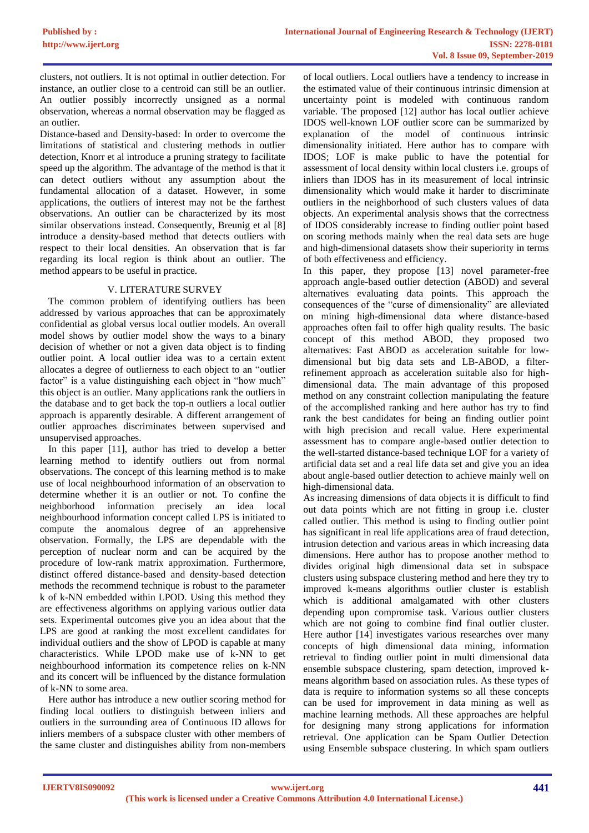clusters, not outliers. It is not optimal in outlier detection. For instance, an outlier close to a centroid can still be an outlier. An outlier possibly incorrectly unsigned as a normal observation, whereas a normal observation may be flagged as an outlier.

Distance-based and Density-based: In order to overcome the limitations of statistical and clustering methods in outlier detection, Knorr et al introduce a pruning strategy to facilitate speed up the algorithm. The advantage of the method is that it can detect outliers without any assumption about the fundamental allocation of a dataset. However, in some applications, the outliers of interest may not be the farthest observations. An outlier can be characterized by its most similar observations instead. Consequently, Breunig et al [8] introduce a density-based method that detects outliers with respect to their local densities. An observation that is far regarding its local region is think about an outlier. The method appears to be useful in practice.

# V. LITERATURE SURVEY

The common problem of identifying outliers has been addressed by various approaches that can be approximately confidential as global versus local outlier models. An overall model shows by outlier model show the ways to a binary decision of whether or not a given data object is to finding outlier point. A local outlier idea was to a certain extent allocates a degree of outlierness to each object to an "outlier factor" is a value distinguishing each object in "how much" this object is an outlier. Many applications rank the outliers in the database and to get back the top-n outliers a local outlier approach is apparently desirable. A different arrangement of outlier approaches discriminates between supervised and unsupervised approaches.

In this paper [11], author has tried to develop a better learning method to identify outliers out from normal observations. The concept of this learning method is to make use of local neighbourhood information of an observation to determine whether it is an outlier or not. To confine the neighborhood information precisely an idea local information precisely an idea local neighbourhood information concept called LPS is initiated to compute the anomalous degree of an apprehensive observation. Formally, the LPS are dependable with the perception of nuclear norm and can be acquired by the procedure of low-rank matrix approximation. Furthermore, distinct offered distance-based and density-based detection methods the recommend technique is robust to the parameter k of k-NN embedded within LPOD. Using this method they are effectiveness algorithms on applying various outlier data sets. Experimental outcomes give you an idea about that the LPS are good at ranking the most excellent candidates for individual outliers and the show of LPOD is capable at many characteristics. While LPOD make use of k-NN to get neighbourhood information its competence relies on k-NN and its concert will be influenced by the distance formulation of k-NN to some area.

Here author has introduce a new outlier scoring method for finding local outliers to distinguish between inliers and outliers in the surrounding area of Continuous ID allows for inliers members of a subspace cluster with other members of the same cluster and distinguishes ability from non-members

of local outliers. Local outliers have a tendency to increase in the estimated value of their continuous intrinsic dimension at uncertainty point is modeled with continuous random variable. The proposed [12] author has local outlier achieve IDOS well-known LOF outlier score can be summarized by explanation of the model of continuous intrinsic dimensionality initiated. Here author has to compare with IDOS; LOF is make public to have the potential for assessment of local density within local clusters i.e. groups of inliers than IDOS has in its measurement of local intrinsic dimensionality which would make it harder to discriminate outliers in the neighborhood of such clusters values of data objects. An experimental analysis shows that the correctness of IDOS considerably increase to finding outlier point based on scoring methods mainly when the real data sets are huge and high-dimensional datasets show their superiority in terms of both effectiveness and efficiency.

In this paper, they propose [13] novel parameter-free approach angle-based outlier detection (ABOD) and several alternatives evaluating data points. This approach the consequences of the "curse of dimensionality" are alleviated on mining high-dimensional data where distance-based approaches often fail to offer high quality results. The basic concept of this method ABOD, they proposed two alternatives: Fast ABOD as acceleration suitable for lowdimensional but big data sets and LB-ABOD, a filterrefinement approach as acceleration suitable also for highdimensional data. The main advantage of this proposed method on any constraint collection manipulating the feature of the accomplished ranking and here author has try to find rank the best candidates for being an finding outlier point with high precision and recall value. Here experimental assessment has to compare angle-based outlier detection to the well-started distance-based technique LOF for a variety of artificial data set and a real life data set and give you an idea about angle-based outlier detection to achieve mainly well on high-dimensional data.

As increasing dimensions of data objects it is difficult to find out data points which are not fitting in group i.e. cluster called outlier. This method is using to finding outlier point has significant in real life applications area of fraud detection, intrusion detection and various areas in which increasing data dimensions. Here author has to propose another method to divides original high dimensional data set in subspace clusters using subspace clustering method and here they try to improved k-means algorithms outlier cluster is establish which is additional amalgamated with other clusters depending upon compromise task. Various outlier clusters which are not going to combine find final outlier cluster. Here author [14] investigates various researches over many concepts of high dimensional data mining, information retrieval to finding outlier point in multi dimensional data ensemble subspace clustering, spam detection, improved kmeans algorithm based on association rules. As these types of data is require to information systems so all these concepts can be used for improvement in data mining as well as machine learning methods. All these approaches are helpful for designing many strong applications for information retrieval. One application can be Spam Outlier Detection using Ensemble subspace clustering. In which spam outliers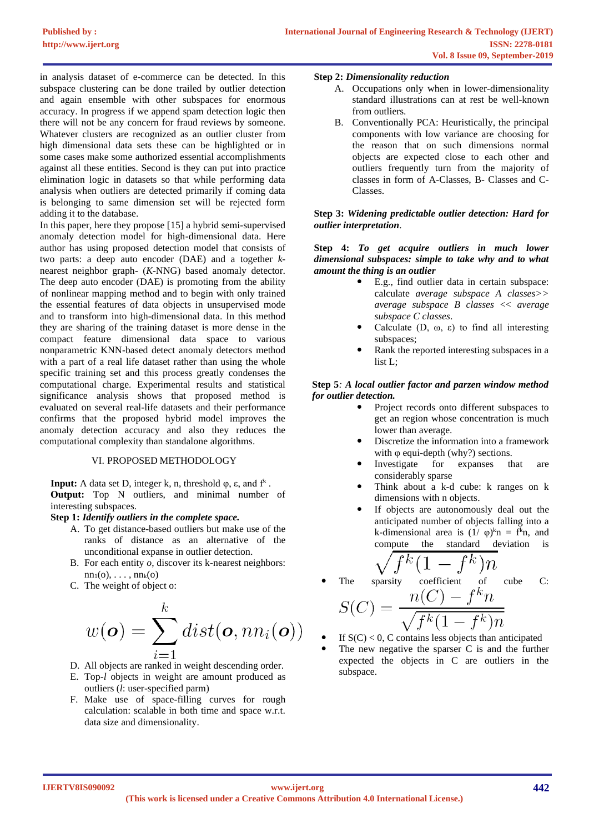in analysis dataset of e-commerce can be detected. In this subspace clustering can be done trailed by outlier detection and again ensemble with other subspaces for enormous accuracy. In progress if we append spam detection logic then there will not be any concern for fraud reviews by someone. Whatever clusters are recognized as an outlier cluster from high dimensional data sets these can be highlighted or in some cases make some authorized essential accomplishments against all these entities. Second is they can put into practice elimination logic in datasets so that while performing data analysis when outliers are detected primarily if coming data is belonging to same dimension set will be rejected form adding it to the database.

In this paper, here they propose [15] a hybrid semi-supervised anomaly detection model for high-dimensional data. Here author has using proposed detection model that consists of two parts: a deep auto encoder (DAE) and a together *k*nearest neighbor graph- (*K*-NNG) based anomaly detector. The deep auto encoder (DAE) is promoting from the ability of nonlinear mapping method and to begin with only trained the essential features of data objects in unsupervised mode and to transform into high-dimensional data. In this method they are sharing of the training dataset is more dense in the compact feature dimensional data space to various nonparametric KNN-based detect anomaly detectors method with a part of a real life dataset rather than using the whole specific training set and this process greatly condenses the computational charge. Experimental results and statistical significance analysis shows that proposed method is evaluated on several real-life datasets and their performance confirms that the proposed hybrid model improves the anomaly detection accuracy and also they reduces the computational complexity than standalone algorithms.

# VI. PROPOSED METHODOLOGY

**Input:** A data set D, integer k, n, threshold  $\varphi$ ,  $\varepsilon$ , and  $f^k$ . **Output:** Top N outliers, and minimal number of interesting subspaces.

# **Step 1:** *Identify outliers in the complete space.*

- A. To get distance-based outliers but make use of the ranks of distance as an alternative of the unconditional expanse in outlier detection.
- B. For each entity *o*, discover its k-nearest neighbors:  $nn_1(o), \ldots, nn_k(o)$
- C. The weight of object o:

$$
w(\boldsymbol{o}) = \sum_{i=1}^k dist(\boldsymbol{o}, nn_i(\boldsymbol{o}))
$$

- D. All objects are ranked in weight descending order.
- E. Top-*l* objects in weight are amount produced as outliers (*l*: user-specified parm)
- F. Make use of space-filling curves for rough calculation: scalable in both time and space w.r.t. data size and dimensionality.

#### **Step 2:** *Dimensionality reduction*

- A. Occupations only when in lower-dimensionality standard illustrations can at rest be well-known from outliers.
- B. Conventionally PCA: Heuristically, the principal components with low variance are choosing for the reason that on such dimensions normal objects are expected close to each other and outliers frequently turn from the majority of classes in form of A-Classes, B- Classes and C-Classes.

# **Step 3:** *Widening predictable outlier detection: Hard for outlier interpretation*.

# **Step 4:** *To get acquire outliers in much lower dimensional subspaces: simple to take why and to what amount the thing is an outlier*

- E.g., find outlier data in certain subspace: calculate *average subspace A classes>> average subspace B classes* << *average subspace C classes*.
- Calculate  $(D, \omega, \varepsilon)$  to find all interesting subspaces;
- Rank the reported interesting subspaces in a list L;

# **Step 5***: A local outlier factor and parzen window method for outlier detection.*

- Project records onto different subspaces to get an region whose concentration is much lower than average.
- Discretize the information into a framework with  $\varphi$  equi-depth (why?) sections.
- Investigate for expanses that are considerably sparse
- Think about a k-d cube: k ranges on k dimensions with n objects.
- If objects are autonomously deal out the anticipated number of objects falling into a k-dimensional area is  $(1/\varphi)^{k}n = f^{k}n$ , and compute the standard deviation is

$$
\sqrt{f^k(1-f^k)n}
$$

The sparsity coefficient of cube C:

$$
S(C) = \frac{n(C) - f^k n}{\sqrt{f^k (1 - f^k)n}}
$$

If  $S(C) < 0$ , C contains less objects than anticipated The new negative the sparser C is and the further expected the objects in C are outliers in the subspace.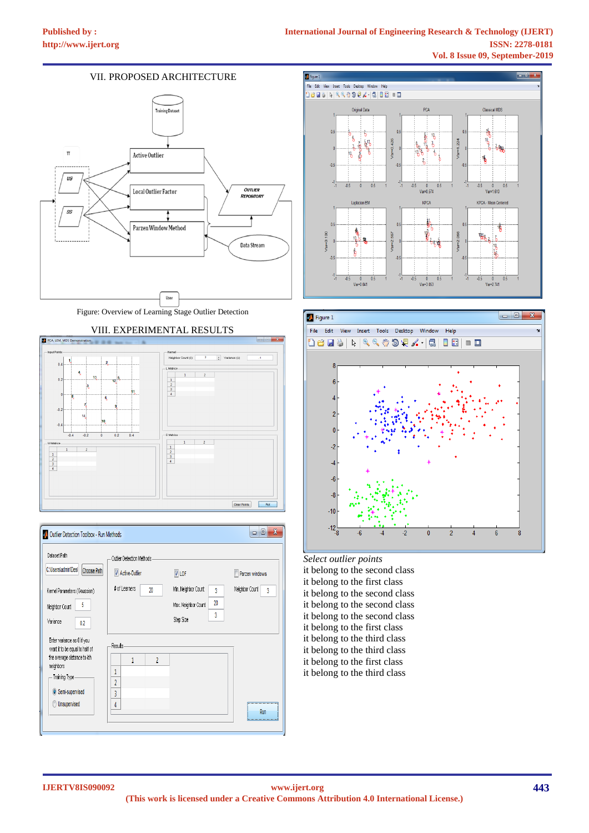# VII. PROPOSED ARCHITECTURE



Figure: Overview of Learning Stage Outlier Detection









*Select outlier points*  it belong to the second class it belong to the first class it belong to the second class it belong to the second class it belong to the second class it belong to the first class it belong to the third class it belong to the third class it belong to the first class it belong to the third class

**IJERTV8IS090092**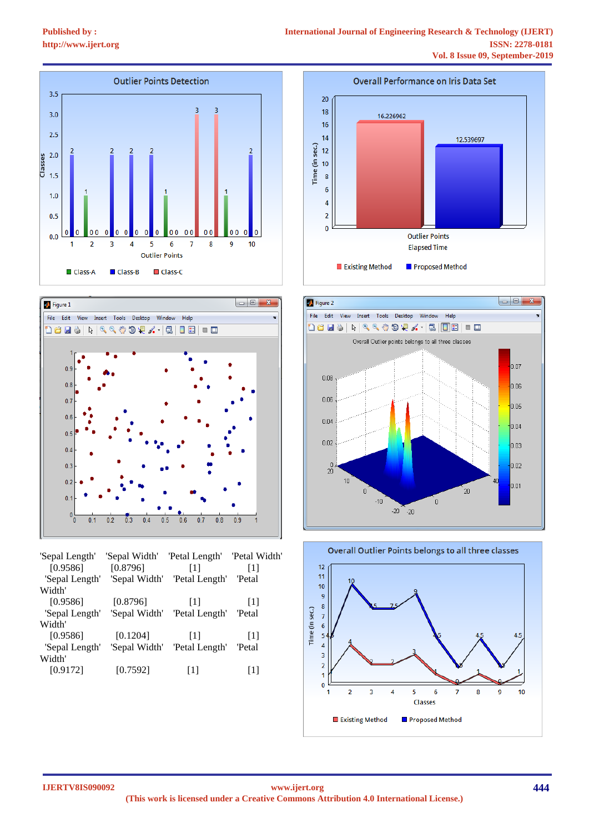



| 'Sepal Length' | 'Sepal Width' | 'Petal Length' | 'Petal Width'                |
|----------------|---------------|----------------|------------------------------|
| [0.9586]       | [0.8796]      | [1]            | [1]                          |
| 'Sepal Length' | 'Sepal Width' | 'Petal Length' | <b>Petal</b>                 |
| Width'         |               |                |                              |
| [0.9586]       | [0.8796]      | Пl             | $\left\lceil 1 \right\rceil$ |
| 'Sepal Length' | 'Sepal Width' | 'Petal Length' | 'Petal                       |
| Width'         |               |                |                              |
| [0.9586]       | [0.1204]      | [1]            | [1]                          |
| 'Sepal Length' | 'Sepal Width' | 'Petal Length' | 'Petal                       |
| Width'         |               |                |                              |
| [0.9172]       | [0.7592]      | [1]            | 111                          |
|                |               |                |                              |







**IJERTV8IS090092**